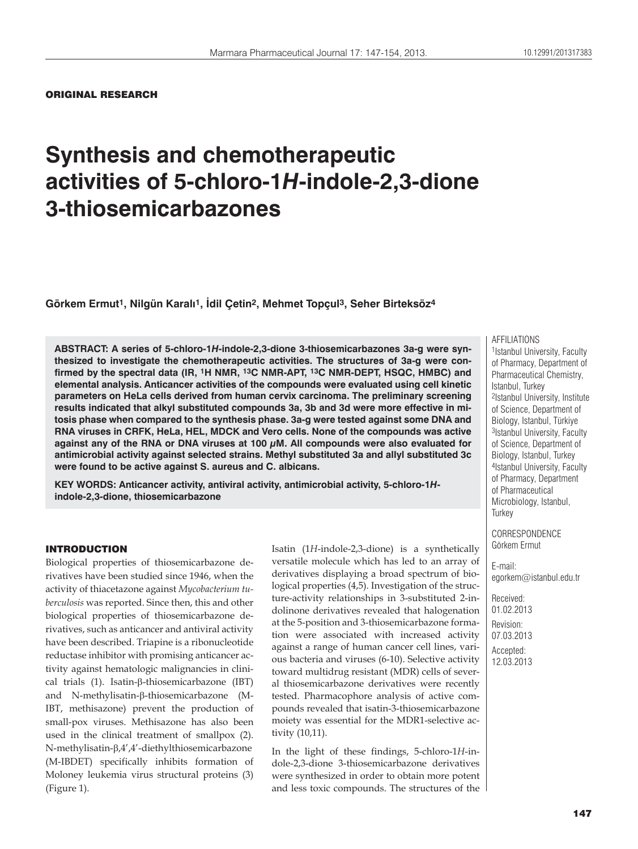### ORIGINAL RESEARCH

# **Synthesis and chemotherapeutic activities of 5-chloro-1***H***-indole-2,3-dione 3-thiosemicarbazones**

**Görkem Ermut1, Nilgün Karalı1, İdil Çetin2, Mehmet Topçul3, Seher Birteksöz4**

**ABSTRACT: A series of 5-chloro-1***H***-indole-2,3-dione 3-thiosemicarbazones 3a-g were synthesized to investigate the chemotherapeutic activities. The structures of 3a-g were confirmed by the spectral data (IR, 1H NMR, 13C NMR-APT, 13C NMR-DEPT, HSQC, HMBC) and elemental analysis. Anticancer activities of the compounds were evaluated using cell kinetic parameters on HeLa cells derived from human cervix carcinoma. The preliminary screening results indicated that alkyl substituted compounds 3a, 3b and 3d were more effective in mitosis phase when compared to the synthesis phase. 3a-g were tested against some DNA and RNA viruses in CRFK, HeLa, HEL, MDCK and Vero cells. None of the compounds was active against any of the RNA or DNA viruses at 100 μM. All compounds were also evaluated for antimicrobial activity against selected strains. Methyl substituted 3a and allyl substituted 3c were found to be active against S. aureus and C. albicans.** 

**KEY WORDS: Anticancer activity, antiviral activity, antimicrobial activity, 5-chloro-1***H***indole-2,3-dione, thiosemicarbazone**

#### INTRODUCTION

Biological properties of thiosemicarbazone derivatives have been studied since 1946, when the activity of thiacetazone against *Mycobacterium tuberculosis* was reported. Since then, this and other biological properties of thiosemicarbazone derivatives, such as anticancer and antiviral activity have been described. Triapine is a ribonucleotide reductase inhibitor with promising anticancer activity against hematologic malignancies in clinical trials  $(1)$ . Isatin- $\beta$ -thiosemicarbazone  $(IBT)$ and  $N$ -methylisatin- $\beta$ -thiosemicarbazone (M-IBT, methisazone) prevent the production of small-pox viruses. Methisazone has also been used in the clinical treatment of smallpox (2). N-methylisatin- $\beta$ ,4',4'-diethylthiosemicarbazone (M-IBDET) specifically inhibits formation of Moloney leukemia virus structural proteins (3) (Figure 1).

Isatin (1*H*-indole-2,3-dione) is a synthetically versatile molecule which has led to an array of derivatives displaying a broad spectrum of biological properties (4,5). Investigation of the structure-activity relationships in 3-substituted 2-indolinone derivatives revealed that halogenation at the 5-position and 3-thiosemicarbazone formation were associated with increased activity against a range of human cancer cell lines, various bacteria and viruses (6-10). Selective activity toward multidrug resistant (MDR) cells of several thiosemicarbazone derivatives were recently tested. Pharmacophore analysis of active compounds revealed that isatin-3-thiosemicarbazone moiety was essential for the MDR1-selective activity (10,11).

In the light of these findings, 5-chloro-1*H*-indole-2,3-dione 3-thiosemicarbazone derivatives were synthesized in order to obtain more potent and less toxic compounds. The structures of the

#### AFFILIATIONS

1Istanbul University, Faculty of Pharmacy, Department of Pharmaceutical Chemistry, Istanbul, Turkey 2Istanbul University, Institute of Science, Department of Biology, Istanbul, Türkiye 3Istanbul University, Faculty of Science, Department of Biology, Istanbul, Turkey 4Istanbul University, Faculty of Pharmacy, Department of Pharmaceutical Microbiology, Istanbul, **Turkey** 

**CORRESPONDENCE** Görkem Ermut

E-mail: egorkem@istanbul.edu.tr

Received: 01.02.2013 Revision: 07.03.2013 Accepted: 12.03.2013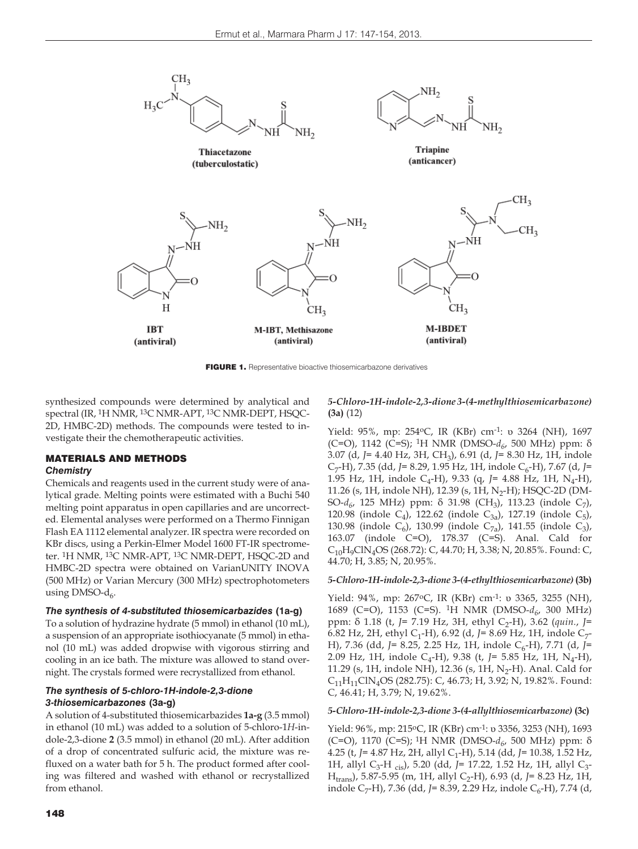

FIGURE 1. Representative bioactive thiosemicarbazone derivatives

synthesized compounds were determined by analytical and spectral (IR, 1H NMR, 13C NMR-APT, 13C NMR-DEPT, HSQC-2D, HMBC-2D) methods. The compounds were tested to investigate their the chemotherapeutic activities.

#### MATERIALS AND METHODS *Chemistry*

Chemicals and reagents used in the current study were of analytical grade. Melting points were estimated with a Buchi 540 melting point apparatus in open capillaries and are uncorrected. Elemental analyses were performed on a Thermo Finnigan Flash EA 1112 elemental analyzer. IR spectra were recorded on KBr discs, using a Perkin-Elmer Model 1600 FT-IR spectrometer. 1H NMR, 13C NMR-APT, 13C NMR-DEPT, HSQC-2D and HMBC-2D spectra were obtained on VarianUNITY INOVA (500 MHz) or Varian Mercury (300 MHz) spectrophotometers using DMSO- $d_6$ .

#### *The synthesis of 4-substituted thiosemicarbazides* **(1a-g)**

To a solution of hydrazine hydrate (5 mmol) in ethanol (10 mL), a suspension of an appropriate isothiocyanate (5 mmol) in ethanol (10 mL) was added dropwise with vigorous stirring and cooling in an ice bath. The mixture was allowed to stand overnight. The crystals formed were recrystallized from ethanol.

# *The synthesis of 5-chloro-1H-indole-2,3-dione 3-thiosemicarbazones* **(3a-g)**

A solution of 4-substituted thiosemicarbazides **1a-g** (3.5 mmol) in ethanol (10 mL) was added to a solution of 5-chloro-1*H*-indole-2,3-dione **2** (3.5 mmol) in ethanol (20 mL). After addition of a drop of concentrated sulfuric acid, the mixture was refluxed on a water bath for 5 h. The product formed after cooling was filtered and washed with ethanol or recrystallized from ethanol.

#### *5-Chloro-1H-indole-2,3-dione 3-(4-methylthiosemicarbazone)* **(3a)** (12)

Yield: 95%, mp: 254oC, IR (KBr) cm-1: υ 3264 (NH), 1697 (C=O), 1142 (C=S); <sup>1</sup>H NMR (DMSO- $d<sub>6</sub>$ , 500 MHz) ppm: δ 3.07 (d, *J*= 4.40 Hz, 3H, CH3), 6.91 (d, *J*= 8.30 Hz, 1H, indole C<sub>7</sub>-H), 7.35 (dd, *J*= 8.29, 1.95 Hz, 1H, indole C<sub>6</sub>-H), 7.67 (d, *J*= 1.95 Hz, 1H, indole C<sub>4</sub>-H), 9.33 (q, J= 4.88 Hz, 1H, N<sub>4</sub>-H), 11.26 (s, 1H, indole NH), 12.39 (s, 1H, N<sub>2</sub>-H); HSQC-2D (DM-SO-*d<sub>6</sub>*, 125 MHz) ppm: δ 31.98 (CH<sub>3</sub>), 113.23 (indole C<sub>7</sub>), 120.98 (indole C<sub>4</sub>), 122.62 (indole C<sub>3a</sub>), 127.19 (indole C<sub>5</sub>), 130.98 (indole C<sub>6</sub>), 130.99 (indole C<sub>7a</sub>), 141.55 (indole C<sub>3</sub>), 163.07 (indole C=O), 178.37 (C=S). Anal. Cald for  $C_{10}H_9CIN_4OS$  (268.72): C, 44.70; H, 3.38; N, 20.85%. Found: C, 44.70; H, 3.85; N, 20.95%.

#### *5-Chloro-1H-indole-2,3-dione 3-(4-ethylthiosemicarbazone)* **(3b)**

Yield: 94%, mp: 267oC, IR (KBr) cm-1: υ 3365, 3255 (NH), 1689 (C=O), 1153 (C=S). <sup>1</sup>H NMR (DMSO- $d_{6}$ , 300 MHz) ppm: δ 1.18 (t, *J*= 7.19 Hz, 3H, ethyl C2-H), 3.62 (*quin.*, *J*= 6.82 Hz, 2H, ethyl C<sub>1</sub>-H), 6.92 (d, J= 8.69 Hz, 1H, indole C<sub>7</sub>-H), 7.36 (dd, *J*= 8.25, 2.25 Hz, 1H, indole C<sub>6</sub>-H), 7.71 (d, *J*= 2.09 Hz, 1H, indole C4-H), 9.38 (t, *J*= 5.85 Hz, 1H, N4-H), 11.29 (s, 1H, indole NH), 12.36 (s, 1H, N<sub>2</sub>-H). Anal. Cald for  $C_{11}H_{11}CIN_4OS$  (282.75): C, 46.73; H, 3.92; N, 19.82%. Found: C, 46.41; H, 3.79; N, 19.62%.

#### *5-Chloro-1H-indole-2,3-dione 3-(4-allylthiosemicarbazone)* **(3c)**

Yield: 96%, mp: 215oC, IR (KBr) cm-1: υ 3356, 3253 (NH), 1693 (C=O), 1170 (C=S); 1H NMR (DMSO-*d6*, 500 MHz) ppm: δ 4.25 (t, J = 4.87 Hz, 2H, allyl C<sub>1</sub>-H), 5.14 (dd, J = 10.38, 1.52 Hz, 1H, allyl C<sub>3</sub>-H <sub>cis</sub>), 5.20 (dd, J= 17.22, 1.52 Hz, 1H, allyl C<sub>3</sub>-Htrans), 5.87-5.95 (m, 1H, allyl C2-H), 6.93 (d, *J*= 8.23 Hz, 1H, indole C<sub>7</sub>-H), 7.36 (dd, J= 8.39, 2.29 Hz, indole C<sub>6</sub>-H), 7.74 (d,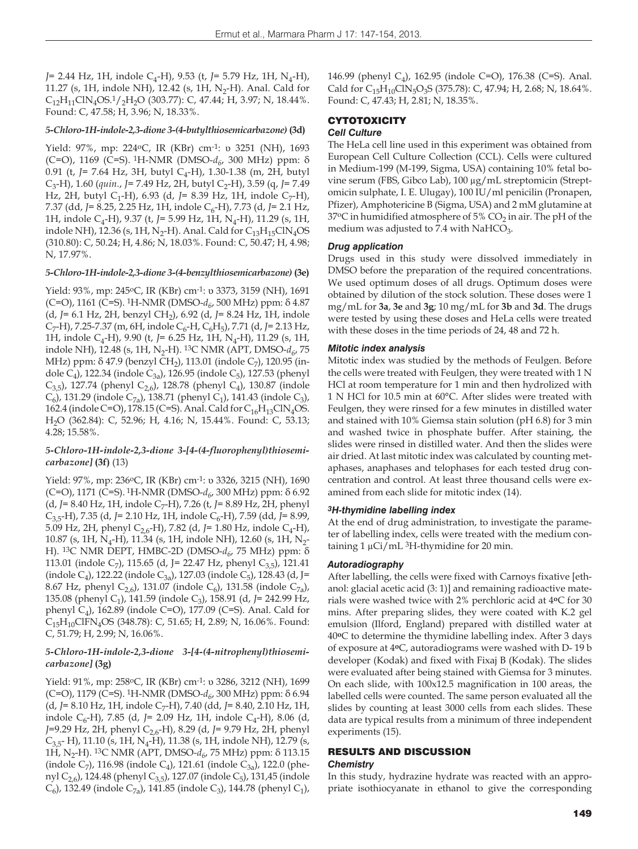*J*= 2.44 Hz, 1H, indole C<sub>4</sub>-H), 9.53 (t, *J*= 5.79 Hz, 1H, N<sub>4</sub>-H), 11.27 (s, 1H, indole NH), 12.42 (s, 1H,  $N_2$ -H). Anal. Cald for  $C_{12}H_{11}CIN_4OS.1/2H_2O$  (303.77): C, 47.44; H, 3.97; N, 18.44%. Found: C, 47.58; H, 3.96; N, 18.33%.

#### *5-Chloro-1H-indole-2,3-dione 3-(4-butylthiosemicarbazone)* **(3d)**

Yield: 97%, mp: 224oC, IR (KBr) cm-1: υ 3251 (NH), 1693 (C=O), 1169 (C=S). 1H-NMR (DMSO-*d6*, 300 MHz) ppm: δ 0.91 (t, *J*= 7.64 Hz, 3H, butyl C<sub>4</sub>-H), 1.30-1.38 (m, 2H, butyl C<sub>3</sub>-H), 1.60 (*quin.*, *J*= 7.49 Hz, 2H, butyl C<sub>2</sub>-H), 3.59 (q, *J*= 7.49 Hz, 2H, butyl C<sub>1</sub>-H), 6.93 (d, J= 8.39 Hz, 1H, indole C<sub>7</sub>-H), 7.37 (dd, *J*= 8.25, 2.25 Hz, 1H, indole C<sub>6</sub>-H), 7.73 (d, *J*= 2.1 Hz, 1H, indole C<sub>4</sub>-H), 9.37 (t, J= 5.99 Hz, 1H, N<sub>4</sub>-H), 11.29 (s, 1H, indole NH), 12.36 (s, 1H, N<sub>2</sub>-H). Anal. Cald for  $C_{13}H_{15}CN_4OS$ (310.80): C, 50.24; H, 4.86; N, 18.03%. Found: C, 50.47; H, 4.98; N, 17.97%.

#### *5-Chloro-1H-indole-2,3-dione 3-(4-benzylthiosemicarbazone)* **(3e)**

Yield: 93%, mp: 245 °C, IR (KBr) cm<sup>-1</sup>: υ 3373, 3159 (NH), 1691 (C=O), 1161 (C=S). 1H-NMR (DMSO-*d6*, 500 MHz) ppm: δ 4.87 (d, *J*= 6.1 Hz, 2H, benzyl CH2), 6.92 (d, *J*= 8.24 Hz, 1H, indole C<sub>7</sub>-H), 7.25-7.37 (m, 6H, indole C<sub>6</sub>-H, C<sub>6</sub>H<sub>5</sub>), 7.71 (d, *J*= 2.13 Hz, 1H, indole C<sub>4</sub>-H), 9.90 (t, *J*= 6.25 Hz, 1H, N<sub>4</sub>-H), 11.29 (s, 1H, indole NH), 12.48 (s, 1H, N<sub>2</sub>-H). <sup>13</sup>C NMR (APT, DMSO- $d_6$ , 75 MHz) ppm: δ 47.9 (benzyl CH<sub>2</sub>), 113.01 (indole C<sub>7</sub>), 120.95 (indole C<sub>4</sub>), 122.34 (indole C<sub>3a</sub>), 126.95 (indole C<sub>5</sub>), 127.53 (phenyl C<sub>3,5</sub>), 127.74 (phenyl C<sub>2,6</sub>), 128.78 (phenyl C<sub>4</sub>), 130.87 (indole  $C_6$ ), 131.29 (indole  $C_{7a}$ ), 138.71 (phenyl  $C_1$ ), 141.43 (indole  $C_3$ ), 162.4 (indole C=O), 178.15 (C=S). Anal. Cald for  $C_{16}H_{13}CN_4OS$ . H2O (362.84): C, 52.96; H, 4.16; N, 15.44%. Found: C, 53.13; 4.28; 15.58%.

#### *5-Chloro-1H-indole-2,3-dione 3-[4-(4-fluorophenyl)thiosemicarbazone]* **(3f)** (13)

Yield: 97%, mp: 236°C, IR (KBr) cm<sup>-1</sup>: υ 3326, 3215 (NH), 1690 (C=O), 1171 (C=S). 1H-NMR (DMSO-*d6*, 300 MHz) ppm: δ 6.92 (d, *J*= 8.40 Hz, 1H, indole C<sub>7</sub>-H), 7.26 (t, *J*= 8.89 Hz, 2H, phenyl C<sub>3,5</sub>-H), 7.35 (d, *J*= 2.10 Hz, 1H, indole C<sub>6</sub>-H), 7.59 (dd, *J*= 8.99, 5.09 Hz, 2H, phenyl C<sub>2.6</sub>-H), 7.82 (d, J= 1.80 Hz, indole C<sub>4</sub>-H), 10.87 (s, 1H, N<sub>4</sub>-H), 11.34 (s, 1H, indole NH), 12.60 (s, 1H, N<sub>2</sub>-H). <sup>13</sup>C NMR DEPT, HMBC-2D (DMSO- $d_6$ , 75 MHz) ppm: δ 113.01 (indole C<sub>7</sub>), 115.65 (d, J= 22.47 Hz, phenyl C<sub>3,5</sub>), 121.41 (indole C<sub>4</sub>), 122.22 (indole C<sub>3a</sub>), 127.03 (indole C<sub>5</sub>), 128.43 (d, J= 8.67 Hz, phenyl C<sub>2.6</sub>), 131.07 (indole C<sub>6</sub>), 131.58 (indole C<sub>7a</sub>), 135.08 (phenyl C1), 141.59 (indole C3), 158.91 (d, *J*= 242.99 Hz, phenyl  $C_4$ ), 162.89 (indole C=O), 177.09 (C=S). Anal. Cald for  $C_{15}H_{10}CIFN<sub>4</sub>OS (348.78): C, 51.65; H, 2.89; N, 16.06%. Found:$ C, 51.79; H, 2.99; N, 16.06%.

#### *5-Chloro-1H-indole-2,3-dione 3-[4-(4-nitrophenyl)thiosemicarbazone]* **(3g)**

Yield: 91%, mp: 258<sup>o</sup>C, IR (KBr) cm<sup>-1</sup>: υ 3286, 3212 (NH), 1699 (C=O), 1179 (C=S). 1H-NMR (DMSO-*d6*, 300 MHz) ppm: δ 6.94 (d, *J*= 8.10 Hz, 1H, indole C<sub>7</sub>-H), 7.40 (dd, *J*= 8.40, 2.10 Hz, 1H, indole C<sub>6</sub>-H), 7.85 (d, J= 2.09 Hz, 1H, indole C<sub>4</sub>-H), 8.06 (d, *J*=9.29 Hz, 2H, phenyl C2,6-H), 8.29 (d, *J*= 9.79 Hz, 2H, phenyl  $C_{3,5}$ - H), 11.10 (s, 1H, N<sub>4</sub>-H), 11.38 (s, 1H, indole NH), 12.79 (s, 1H, N2-H). 13C NMR (APT, DMSO-*d6*, 75 MHz) ppm: δ 113.15 (indole C<sub>7</sub>), 116.98 (indole C<sub>4</sub>), 121.61 (indole C<sub>3a</sub>), 122.0 (phenyl C<sub>2,6</sub>), 124.48 (phenyl C<sub>3,5</sub>), 127.07 (indole C<sub>5</sub>), 131,45 (indole  $(C_6)$ , 132.49 (indole  $C_{7a}$ ), 141.85 (indole  $C_3$ ), 144.78 (phenyl  $C_1$ ),

146.99 (phenyl C4), 162.95 (indole C=O), 176.38 (C=S). Anal. Cald for  $C_{15}H_{10}CIN_5O_3S$  (375.78): C, 47.94; H, 2.68; N, 18.64%. Found: C, 47.43; H, 2.81; N, 18.35%.

#### **CYTOTOXICITY** *Cell Culture*

The HeLa cell line used in this experiment was obtained from European Cell Culture Collection (CCL). Cells were cultured in Medium-199 (M-199, Sigma, USA) containing 10% fetal bovine serum (FBS, Gibco Lab), 100 μg/mL streptomicin (Streptomicin sulphate, I. E. Ulugay), 100 IU/ml penicilin (Pronapen, Pfizer), Amphotericine B (Sigma, USA) and 2 mM glutamine at 37°C in humidified atmosphere of 5%  $CO<sub>2</sub>$  in air. The pH of the medium was adjusted to 7.4 with NaHCO<sub>3</sub>.

#### *Drug application*

Drugs used in this study were dissolved immediately in DMSO before the preparation of the required concentrations. We used optimum doses of all drugs. Optimum doses were obtained by dilution of the stock solution. These doses were 1 mg/mL for **3a**, **3e** and **3g**; 10 mg/mL for **3b** and **3d**. The drugs were tested by using these doses and HeLa cells were treated with these doses in the time periods of 24, 48 and 72 h.

#### *Mitotic index analysis*

Mitotic index was studied by the methods of Feulgen. Before the cells were treated with Feulgen, they were treated with 1 N HCl at room temperature for 1 min and then hydrolized with 1 N HCl for 10.5 min at 60°C. After slides were treated with Feulgen, they were rinsed for a few minutes in distilled water and stained with 10% Giemsa stain solution (pH 6.8) for 3 min and washed twice in phosphate buffer. After staining, the slides were rinsed in distilled water. And then the slides were air dried. At last mitotic index was calculated by counting metaphases, anaphases and telophases for each tested drug concentration and control. At least three thousand cells were examined from each slide for mitotic index (14).

#### *3H-thymidine labelling index*

At the end of drug administration, to investigate the parameter of labelling index, cells were treated with the medium containing 1 μCi/mL 3H-thymidine for 20 min.

#### *Autoradiography*

After labelling, the cells were fixed with Carnoys fixative [ethanol: glacial acetic acid (3: 1)] and remaining radioactive materials were washed twice with 2% perchloric acid at 4**o**C for 30 mins. After preparing slides, they were coated with K.2 gel emulsion (Ilford, England) prepared with distilled water at 40**o**C to determine the thymidine labelling index. After 3 days of exposure at 4**o**C, autoradiograms were washed with D- 19 b developer (Kodak) and fixed with Fixaj B (Kodak). The slides were evaluated after being stained with Giemsa for 3 minutes. On each slide, with 100x12.5 magnification in 100 areas, the labelled cells were counted. The same person evaluated all the slides by counting at least 3000 cells from each slides. These data are typical results from a minimum of three independent experiments (15).

#### RESULTS AND DISCUSSION *Chemistry*

In this study, hydrazine hydrate was reacted with an appropriate isothiocyanate in ethanol to give the corresponding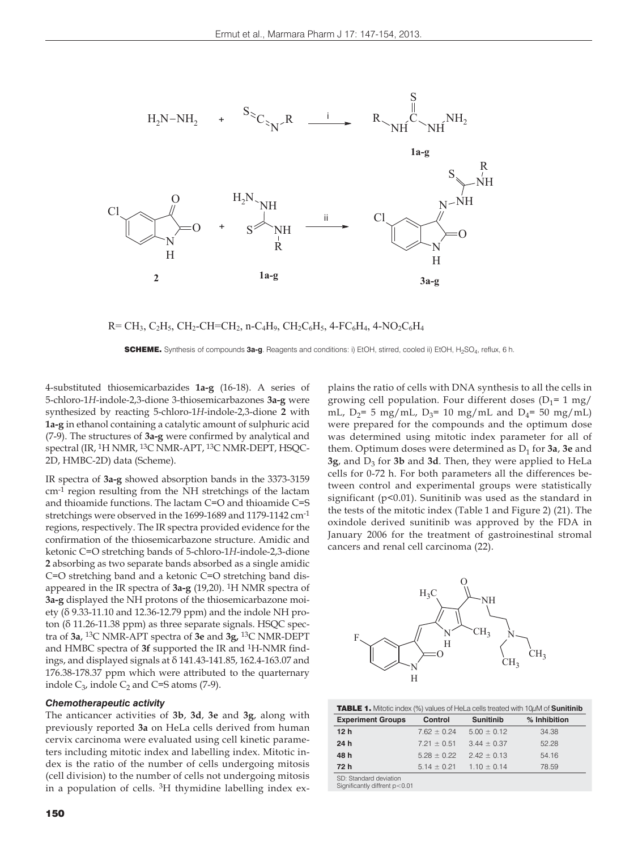

 $R=CH_3, C_2H_5, CH_2-CH=CH_2, n-C_4H_9, CH_2C_6H_5, 4-FC_6H_4, 4-NO_2C_6H_4$ 

SCHEME. Synthesis of compounds **3a-g**. Reagents and conditions: i) EtOH, stirred, cooled ii) EtOH, H2SO4, reflux, 6 h.

4-substituted thiosemicarbazides **1a-g** (16-18). A series of 5-chloro-1*H*-indole-2,3-dione 3-thiosemicarbazones **3a-g** were synthesized by reacting 5-chloro-1*H*-indole-2,3-dione **2** with **1a-g** in ethanol containing a catalytic amount of sulphuric acid (7-9). The structures of **3a-g** were confirmed by analytical and spectral (IR, 1H NMR, 13C NMR-APT, 13C NMR-DEPT, HSQC-2D, HMBC-2D) data (Scheme).

IR spectra of **3a-g** showed absorption bands in the 3373-3159 cm-1 region resulting from the NH stretchings of the lactam and thioamide functions. The lactam C=O and thioamide C=S stretchings were observed in the 1699-1689 and 1179-1142 cm-1 regions, respectively. The IR spectra provided evidence for the confirmation of the thiosemicarbazone structure. Amidic and ketonic C=O stretching bands of 5-chloro-1*H*-indole-2,3-dione **2** absorbing as two separate bands absorbed as a single amidic C=O stretching band and a ketonic C=O stretching band disappeared in the IR spectra of **3a-g** (19,20). 1H NMR spectra of **3a-g** displayed the NH protons of the thiosemicarbazone moiety (δ 9.33-11.10 and 12.36-12.79 ppm) and the indole NH proton (δ 11.26-11.38 ppm) as three separate signals. HSQC spectra of **3a**, 13C NMR-APT spectra of **3e** and **3g,** 13C NMR-DEPT and HMBC spectra of **3f** supported the IR and 1H-NMR findings, and displayed signals at δ 141.43-141.85, 162.4-163.07 and 176.38-178.37 ppm which were attributed to the quarternary indole  $C_3$ , indole  $C_2$  and C=S atoms (7-9).

#### *Chemotherapeutic activity*

The anticancer activities of **3b**, **3d**, **3e** and **3g**, along with previously reported **3a** on HeLa cells derived from human cervix carcinoma were evaluated using cell kinetic parameters including mitotic index and labelling index. Mitotic index is the ratio of the number of cells undergoing mitosis (cell division) to the number of cells not undergoing mitosis in a population of cells. 3H thymidine labelling index ex-

150

plains the ratio of cells with DNA synthesis to all the cells in growing cell population. Four different doses  $(D_1=1 \text{ mg})$ mL,  $D_2$ = 5 mg/mL,  $D_3$ = 10 mg/mL and  $D_4$ = 50 mg/mL) were prepared for the compounds and the optimum dose was determined using mitotic index parameter for all of them. Optimum doses were determined as  $D_1$  for  $3a$ ,  $3e$  and **3g**, and D<sub>3</sub> for **3b** and **3d**. Then, they were applied to HeLa cells for 0-72 h. For both parameters all the differences between control and experimental groups were statistically significant (p<0.01). Sunitinib was used as the standard in the tests of the mitotic index (Table 1 and Figure 2) (21). The oxindole derived sunitinib was approved by the FDA in January 2006 for the treatment of gastroinestinal stromal cancers and renal cell carcinoma (22).



| <b>TABLE 1.</b> Mitotic index (%) values of HeLa cells treated with $10\mu$ M of <b>Sunitinib</b> |                 |                  |              |
|---------------------------------------------------------------------------------------------------|-----------------|------------------|--------------|
| <b>Experiment Groups</b>                                                                          | Control         | <b>Sunitinib</b> | % Inhibition |
| 12 <sub>h</sub>                                                                                   | $7.62 \pm 0.24$ | $5.00 \pm 0.12$  | 34.38        |
| 24 h                                                                                              | $7.21 \pm 0.51$ | $3.44 \pm 0.37$  | 52.28        |
| 48 h                                                                                              | $5.28 \pm 0.22$ | $2.42 \pm 0.13$  | 54.16        |
| 72 h                                                                                              | $5.14 \pm 0.21$ | $1.10 \pm 0.14$  | 78.59        |
| SD: Standard doviation                                                                            |                 |                  |              |

SD: Standard deviation Significantly diffrent p<0.01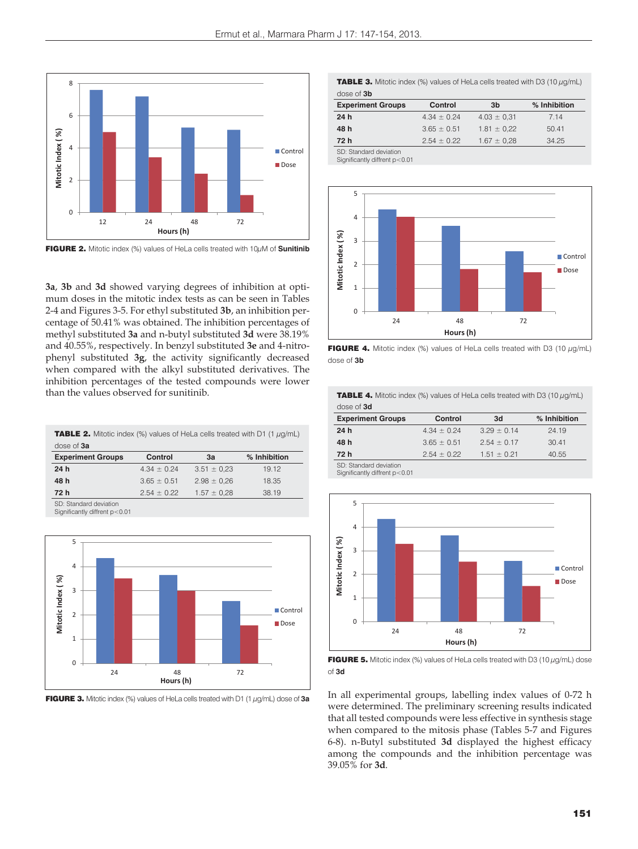

FIGURE 2. Mitotic index (%) values of HeLa cells treated with 10μM of **Sunitinib**

**3a**, **3b** and **3d** showed varying degrees of inhibition at optimum doses in the mitotic index tests as can be seen in Tables 2-4 and Figures 3-5. For ethyl substituted **3b**, an inhibition percentage of 50.41% was obtained. The inhibition percentages of methyl substituted **3a** and n-butyl substituted **3d** were 38.19% and 40.55%, respectively. In benzyl substituted **3e** and 4-nitrophenyl substituted **3g**, the activity significantly decreased when compared with the alkyl substituted derivatives. The inhibition percentages of the tested compounds were lower than the values observed for sunitinib.

**TABLE 2.** Mitotic index (%) values of HeLa cells treated with D1 (1  $\mu$ g/mL) dose of **3a**

| <b>Experiment Groups</b> | Control         | 3a              | % Inhibition |
|--------------------------|-----------------|-----------------|--------------|
| 24h                      | $4.34 \pm 0.24$ | $3.51 \pm 0.23$ | 19.12        |
| 48 h                     | $3.65 \pm 0.51$ | $2.98 \pm 0.26$ | 18.35        |
| 72 h                     | $2.54 \pm 0.22$ | $1.57 \pm 0.28$ | 38.19        |
| SD: Standard deviation   |                 |                 |              |

SD: Standard deviation Significantly diffrent p<0.01



FIGURE 3. Mitotic index (%) values of HeLa cells treated with D1 (1 μg/mL) dose of **3a**

**TABLE 3.** Mitotic index (%) values of HeLa cells treated with D3 (10  $\mu$ g/mL) dose of **3b**

| <b>Experiment Groups</b> | Control         | 3b              | % Inhibition |
|--------------------------|-----------------|-----------------|--------------|
| 24 h                     | $4.34 \pm 0.24$ | $4.03 \pm 0.31$ | 7.14         |
| 48 h                     | $3.65 \pm 0.51$ | $1.81 \pm 0.22$ | 50.41        |
| 72 h                     | $2.54 \pm 0.22$ | $1.67 \pm 0.28$ | 34.25        |
| SD: Standard deviation   |                 |                 |              |

Significantly diffrent p<0.01



FIGURE 4. Mitotic index (%) values of HeLa cells treated with D3 (10  $\mu$ g/mL) dose of **3b**

**TABLE 4.** Mitotic index (%) values of HeLa cells treated with D3 (10  $\mu$ g/mL) dose of **3d**

| <b>Experiment Groups</b>                         | Control         | 3d              | % Inhibition |
|--------------------------------------------------|-----------------|-----------------|--------------|
| 24h                                              | $4.34 \pm 0.24$ | $3.29 \pm 0.14$ | 24.19        |
| 48 h                                             | $3.65 \pm 0.51$ | $2.54 \pm 0.17$ | 30.41        |
| 72 h                                             | $2.54 \pm 0.22$ | $1.51 \pm 0.21$ | 40.55        |
| $\sim$ $\sim$ $\sim$ $\sim$ $\sim$ $\sim$ $\sim$ |                 |                 |              |

SD: Standard deviation Significantly diffrent p<0.01



FIGURE 5. Mitotic index (%) values of HeLa cells treated with D3 (10  $\mu$ g/mL) dose of **3d**

In all experimental groups, labelling index values of 0-72 h were determined. The preliminary screening results indicated that all tested compounds were less effective in synthesis stage when compared to the mitosis phase (Tables 5-7 and Figures 6-8). n-Butyl substituted **3d** displayed the highest efficacy among the compounds and the inhibition percentage was 39.05% for **3d**.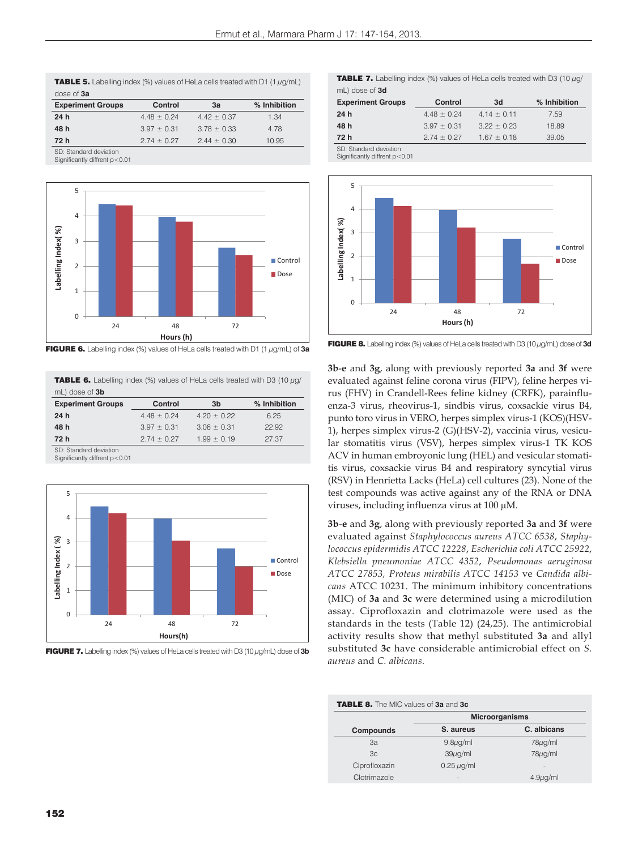| <b>TABLE 5.</b> Labelling index (%) values of HeLa cells treated with D1 (1 $\mu$ g/mL) |  |
|-----------------------------------------------------------------------------------------|--|
| dose of 3a                                                                              |  |

| <b>Experiment Groups</b> | Control         | 3a              | % Inhibition |
|--------------------------|-----------------|-----------------|--------------|
| 24 h                     | $4.48 \pm 0.24$ | $4.42 \pm 0.37$ | 1.34         |
| 48 h                     | $3.97 \pm 0.31$ | $3.78 \pm 0.33$ | 4.78         |
| 72 h                     | $2.74 \pm 0.27$ | $2.44 \pm 0.30$ | 10.95        |
| CD: Ctandard daviation   |                 |                 |              |

SD: Standard deviation Significantly diffrent p<0.01



FIGURE 6. Labelling index (%) values of HeLa cells treated with D1 (1 μg/mL) of **3a**

**TABLE 6.** Labelling index (%) values of HeLa cells treated with D3 (10  $\mu$ g/ mL) dose of **3b**

| <b>Experiment Groups</b> | Control         | 3b              | % Inhibition |
|--------------------------|-----------------|-----------------|--------------|
| 24h                      | $4.48 \pm 0.24$ | $4.20 \pm 0.22$ | 6.25         |
| 48 h                     | $3.97 \pm 0.31$ | $3.06 \pm 0.31$ | 22.92        |
| 72 h                     | $2.74 \pm 0.27$ | $1.99 \pm 0.19$ | 27.37        |

SD: Standard deviation Significantly diffrent p<0.01



FIGURE 7. Labelling index (%) values of HeLa cells treated with D3 (10 μg/mL) dose of **3b**

**TABLE 7.** Labelling index (%) values of HeLa cells treated with D3 (10  $\mu$ g/ mL) dose of **3d** 

| <b>Experiment Groups</b> | Control         | 3d              | % Inhibition |
|--------------------------|-----------------|-----------------|--------------|
| 24 h                     | $4.48 \pm 0.24$ | $4.14 \pm 0.11$ | 7.59         |
| 48 h                     | $3.97 \pm 0.31$ | $3.22 \pm 0.23$ | 18.89        |
| 72 h                     | $2.74 \pm 0.27$ | $1.67 \pm 0.18$ | 39.05        |
| SD: Standard deviation   |                 |                 |              |

SD: Standard deviation Significantly diffrent p<0.01



FIGURE 8. Labelling index (%) values of HeLa cells treated with D3 (10 μg/mL) dose of **3d**

**3b**-**e** and **3g**, along with previously reported **3a** and **3f** were evaluated against feline corona virus (FIPV), feline herpes virus (FHV) in Crandell-Rees feline kidney (CRFK), parainfluenza-3 virus, rheovirus-1, sindbis virus, coxsackie virus B4, punto toro virus in VERO, herpes simplex virus-1 (KOS)(HSV-1), herpes simplex virus-2 (G)(HSV-2), vaccinia virus, vesicular stomatitis virus (VSV), herpes simplex virus-1 TK KOS ACV in human embroyonic lung (HEL) and vesicular stomatitis virus, coxsackie virus B4 and respiratory syncytial virus (RSV) in Henrietta Lacks (HeLa) cell cultures (23). None of the test compounds was active against any of the RNA or DNA viruses, including influenza virus at 100 µM.

**3b**-**e** and **3g**, along with previously reported **3a** and **3f** were evaluated against *Staphylococcus aureus ATCC 6538*, *Staphylococcus epidermidis ATCC 12228*, *Escherichia coli ATCC 25922*, *Klebsiella pneumoniae ATCC 4352*, *Pseudomonas aeruginosa ATCC 27853, Proteus mirabilis ATCC 14153* ve *Candida albicans* ATCC 10231. The minimum inhibitory concentrations (MIC) of **3a** and **3c** were determined using a microdilution assay. Ciprofloxazin and clotrimazole were used as the standards in the tests (Table 12) (24,25). The antimicrobial activity results show that methyl substituted **3a** and allyl substituted **3c** have considerable antimicrobial effect on *S. aureus* and *C. albicans*.

| <b>Microorganisms</b> |               |  |
|-----------------------|---------------|--|
| S. aureus             | C. albicans   |  |
| $9.8\mu q/ml$         | $78\mu$ g/ml  |  |
| $39\mu$ g/ml          | $78\mu q/ml$  |  |
| $0.25 \mu$ g/ml       |               |  |
|                       | $4.9\mu q/ml$ |  |
|                       |               |  |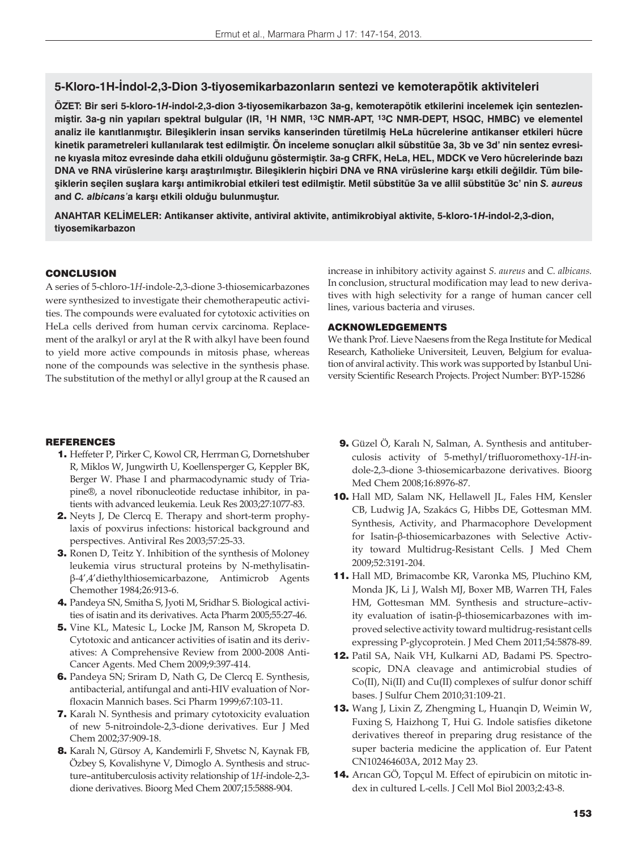# **5-Kloro-1H-İndol-2,3-Dion 3-tiyosemikarbazonların sentezi ve kemoterapötik aktiviteleri**

**ÖZET: Bir seri 5-kloro-1***H***-indol-2,3-dion 3-tiyosemikarbazon 3a-g, kemoterapötik etkilerini incelemek için sentezlenmiştir. 3a-g nin yapıları spektral bulgular (IR, 1H NMR, 13C NMR-APT, 13C NMR-DEPT, HSQC, HMBC) ve elementel analiz ile kanıtlanmıştır. Bileşiklerin insan serviks kanserinden türetilmiş HeLa hücrelerine antikanser etkileri hücre kinetik parametreleri kullanılarak test edilmiştir. Ön inceleme sonuçları alkil sübstitüe 3a, 3b ve 3d' nin sentez evresine kıyasla mitoz evresinde daha etkili olduğunu göstermiştir. 3a-g CRFK, HeLa, HEL, MDCK ve Vero hücrelerinde bazı DNA ve RNA virüslerine karşı araştırılmıştır. Bileşiklerin hiçbiri DNA ve RNA virüslerine karşı etkili değildir. Tüm bileşiklerin seçilen suşlara karşı antimikrobial etkileri test edilmiştir. Metil sübstitüe 3a ve allil sübstitüe 3c' nin** *S. aureus*  **and** *C. albicans'***a karşı etkili olduğu bulunmuştur.**

**ANAHTAR KELİMELER: Antikanser aktivite, antiviral aktivite, antimikrobiyal aktivite, 5-kloro-1***H***-indol-2,3-dion, tiyosemikarbazon**

#### **CONCLUSION**

A series of 5-chloro-1*H*-indole-2,3-dione 3-thiosemicarbazones were synthesized to investigate their chemotherapeutic activities. The compounds were evaluated for cytotoxic activities on HeLa cells derived from human cervix carcinoma. Replacement of the aralkyl or aryl at the R with alkyl have been found to yield more active compounds in mitosis phase, whereas none of the compounds was selective in the synthesis phase. The substitution of the methyl or allyl group at the R caused an

increase in inhibitory activity against *S. aureus* and *C. albicans.* In conclusion, structural modification may lead to new derivatives with high selectivity for a range of human cancer cell lines, various bacteria and viruses.

## ACKNOWLEDGEMENTS

We thank Prof. Lieve Naesens from the Rega Institute for Medical Research, Katholieke Universiteit, Leuven, Belgium for evaluation of anviral activity. This work was supported by Istanbul University Scientific Research Projects. Project Number: BYP-15286

#### REFERENCES

- 1. Heffeter P, Pirker C, Kowol CR, Herrman G, Dornetshuber R, Miklos W, Jungwirth U, Koellensperger G, Keppler BK, Berger W. Phase I and pharmacodynamic study of Triapine®, a novel ribonucleotide reductase inhibitor, in patients with advanced leukemia. Leuk Res 2003;27:1077-83.
- 2. Neyts J, De Clercq E. Therapy and short-term prophylaxis of poxvirus infections: historical background and perspectives. Antiviral Res 2003;57:25-33.
- 3. Ronen D, Teitz Y. Inhibition of the synthesis of Moloney leukemia virus structural proteins by N-methylisatinβ-4',4'diethylthiosemicarbazone, Antimicrob Agents Chemother 1984;26:913-6.
- 4. Pandeya SN, Smitha S, Jyoti M, Sridhar S. Biological activities of isatin and its derivatives. Acta Pharm 2005;55:27-46.
- 5. Vine KL, Matesic L, Locke JM, Ranson M, Skropeta D. Cytotoxic and anticancer activities of isatin and its derivatives: A Comprehensive Review from 2000-2008 Anti-Cancer Agents. Med Chem 2009;9:397-414.
- 6. Pandeya SN; Sriram D, Nath G, De Clercq E. Synthesis, antibacterial, antifungal and anti-HIV evaluation of Norfloxacin Mannich bases. Sci Pharm 1999;67:103-11.
- 7. Karalı N. Synthesis and primary cytotoxicity evaluation of new 5-nitroindole-2,3-dione derivatives. Eur J Med Chem 2002;37:909-18.
- 8. Karalı N, Gürsoy A, Kandemirli F, Shvetsc N, Kaynak FB, Özbey S, Kovalishyne V, Dimoglo A. Synthesis and structure–antituberculosis activity relationship of 1*H*-indole-2,3 dione derivatives. Bioorg Med Chem 2007;15:5888-904.
- 9. Güzel Ö, Karalı N, Salman, A. Synthesis and antituberculosis activity of 5-methyl/trifluoromethoxy-1*H*-indole-2,3-dione 3-thiosemicarbazone derivatives. Bioorg Med Chem 2008;16:8976-87.
- 10. Hall MD, Salam NK, Hellawell JL, Fales HM, Kensler CB, Ludwig JA, Szakács G, Hibbs DE, Gottesman MM. Synthesis, Activity, and Pharmacophore Development for Isatin-β-thiosemicarbazones with Selective Activity toward Multidrug-Resistant Cells. J Med Chem 2009;52:3191-204.
- 11. Hall MD, Brimacombe KR, Varonka MS, Pluchino KM, Monda JK, Li J, Walsh MJ, Boxer MB, Warren TH, Fales HM, Gottesman MM. Synthesis and structure–activity evaluation of isatin-β-thiosemicarbazones with improved selective activity toward multidrug-resistant cells expressing P-glycoprotein. J Med Chem 2011;54:5878-89.
- 12. Patil SA, Naik VH, Kulkarni AD, Badami PS. Spectroscopic, DNA cleavage and antimicrobial studies of Co(II), Ni(II) and Cu(II) complexes of sulfur donor schiff bases. J Sulfur Chem 2010;31:109-21.
- 13. Wang J, Lixin Z, Zhengming L, Huanqin D, Weimin W, Fuxing S, Haizhong T, Hui G. Indole satisfies diketone derivatives thereof in preparing drug resistance of the super bacteria medicine the application of. Eur Patent CN102464603A, 2012 May 23.
- 14. Arıcan GÖ, Topçul M. Effect of epirubicin on mitotic index in cultured L-cells. J Cell Mol Biol 2003;2:43-8.